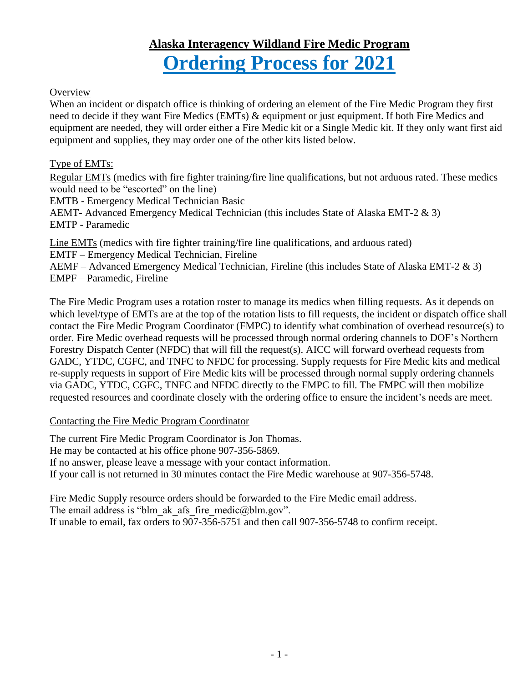# **Alaska Interagency Wildland Fire Medic Program Ordering Process for 2021**

#### **Overview**

When an incident or dispatch office is thinking of ordering an element of the Fire Medic Program they first need to decide if they want Fire Medics (EMTs) & equipment or just equipment. If both Fire Medics and equipment are needed, they will order either a Fire Medic kit or a Single Medic kit. If they only want first aid equipment and supplies, they may order one of the other kits listed below.

#### Type of EMTs:

Regular EMTs (medics with fire fighter training/fire line qualifications, but not arduous rated. These medics would need to be "escorted" on the line)

EMTB - Emergency Medical Technician Basic

AEMT- Advanced Emergency Medical Technician (this includes State of Alaska EMT-2 & 3) EMTP - Paramedic

Line EMTs (medics with fire fighter training/fire line qualifications, and arduous rated)

EMTF – Emergency Medical Technician, Fireline

AEMF – Advanced Emergency Medical Technician, Fireline (this includes State of Alaska EMT-2 & 3) EMPF – Paramedic, Fireline

The Fire Medic Program uses a rotation roster to manage its medics when filling requests. As it depends on which level/type of EMTs are at the top of the rotation lists to fill requests, the incident or dispatch office shall contact the Fire Medic Program Coordinator (FMPC) to identify what combination of overhead resource(s) to order. Fire Medic overhead requests will be processed through normal ordering channels to DOF's Northern Forestry Dispatch Center (NFDC) that will fill the request(s). AICC will forward overhead requests from GADC, YTDC, CGFC, and TNFC to NFDC for processing. Supply requests for Fire Medic kits and medical re-supply requests in support of Fire Medic kits will be processed through normal supply ordering channels via GADC, YTDC, CGFC, TNFC and NFDC directly to the FMPC to fill. The FMPC will then mobilize requested resources and coordinate closely with the ordering office to ensure the incident's needs are meet.

#### Contacting the Fire Medic Program Coordinator

The current Fire Medic Program Coordinator is Jon Thomas. He may be contacted at his office phone 907-356-5869. If no answer, please leave a message with your contact information. If your call is not returned in 30 minutes contact the Fire Medic warehouse at 907-356-5748.

Fire Medic Supply resource orders should be forwarded to the Fire Medic email address. The email address is "blm\_ak\_afs\_fire\_medic@blm.gov". If unable to email, fax orders to 907-356-5751 and then call 907-356-5748 to confirm receipt.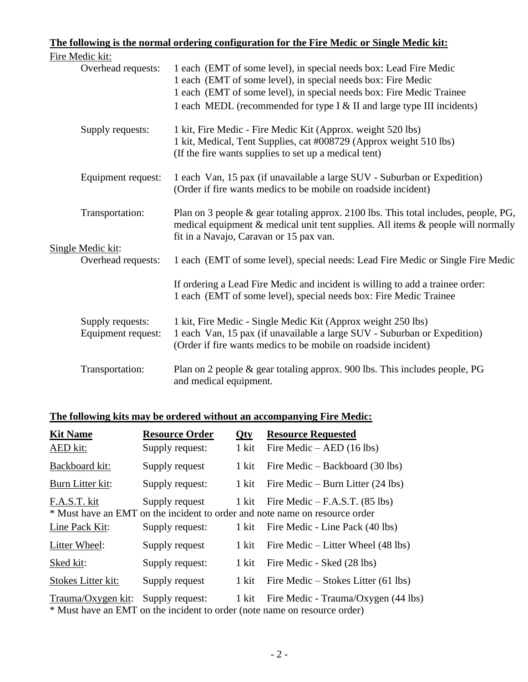#### **The following is the normal ordering configuration for the Fire Medic or Single Medic kit:**  $\mathbf{r}$   $\mathbf{r}$   $\mathbf{r}$   $\mathbf{r}$   $\mathbf{r}$   $\mathbf{r}$

|  | Fire Medic kit:                         |                                                                                                                                                                                                                       |
|--|-----------------------------------------|-----------------------------------------------------------------------------------------------------------------------------------------------------------------------------------------------------------------------|
|  | Overhead requests:                      | 1 each (EMT of some level), in special needs box: Lead Fire Medic<br>1 each (EMT of some level), in special needs box: Fire Medic<br>1 each (EMT of some level), in special needs box: Fire Medic Trainee             |
|  |                                         | 1 each MEDL (recommended for type I & II and large type III incidents)                                                                                                                                                |
|  | Supply requests:                        | 1 kit, Fire Medic - Fire Medic Kit (Approx. weight 520 lbs)<br>1 kit, Medical, Tent Supplies, cat #008729 (Approx weight 510 lbs)<br>(If the fire wants supplies to set up a medical tent)                            |
|  | Equipment request:                      | 1 each Van, 15 pax (if unavailable a large SUV - Suburban or Expedition)<br>(Order if fire wants medics to be mobile on roadside incident)                                                                            |
|  | Transportation:                         | Plan on 3 people $\&$ gear totaling approx. 2100 lbs. This total includes, people, PG,<br>medical equipment & medical unit tent supplies. All items & people will normally<br>fit in a Navajo, Caravan or 15 pax van. |
|  | Single Medic kit:<br>Overhead requests: | 1 each (EMT of some level), special needs: Lead Fire Medic or Single Fire Medic                                                                                                                                       |
|  |                                         | If ordering a Lead Fire Medic and incident is willing to add a trainee order:<br>1 each (EMT of some level), special needs box: Fire Medic Trainee                                                                    |
|  | Supply requests:<br>Equipment request:  | 1 kit, Fire Medic - Single Medic Kit (Approx weight 250 lbs)<br>1 each Van, 15 pax (if unavailable a large SUV - Suburban or Expedition)<br>(Order if fire wants medics to be mobile on roadside incident)            |
|  | Transportation:                         | Plan on 2 people $\&$ gear totaling approx. 900 lbs. This includes people, PG<br>and medical equipment.                                                                                                               |

### **The following kits may be ordered without an accompanying Fire Medic:**

| <b>Kit Name</b>           | <b>Resource Order</b> | <b>Qty</b> | <b>Resource Requested</b>                                                                                       |
|---------------------------|-----------------------|------------|-----------------------------------------------------------------------------------------------------------------|
| AED kit:                  | Supply request:       | 1 kit      | Fire Medic $-$ AED (16 lbs)                                                                                     |
| Backboard kit:            | Supply request        | 1 kit      | Fire Medic – Backboard (30 lbs)                                                                                 |
| Burn Litter kit:          | Supply request:       | 1 kit      | Fire Medic – Burn Litter $(24 \text{ lbs})$                                                                     |
| F.A.S.T. kit              | Supply request        | 1 kit      | Fire Medic $-$ F.A.S.T. (85 lbs)<br>* Must have an EMT on the incident to order and note name on resource order |
| Line Pack Kit:            | Supply request:       | 1 kit      | Fire Medic - Line Pack (40 lbs)                                                                                 |
| Litter Wheel:             | Supply request        | 1 kit      | Fire Medic $-$ Litter Wheel (48 lbs)                                                                            |
| Sked kit:                 | Supply request:       | 1 kit      | Fire Medic - Sked (28 lbs)                                                                                      |
| <b>Stokes Litter kit:</b> | Supply request        | 1 kit      | Fire Medic $-$ Stokes Litter (61 lbs)                                                                           |
| Trauma/Oxygen kit:        | Supply request:       | 1 kit      | Fire Medic - Trauma/Oxygen (44 lbs)                                                                             |

\* Must have an EMT on the incident to order (note name on resource order)